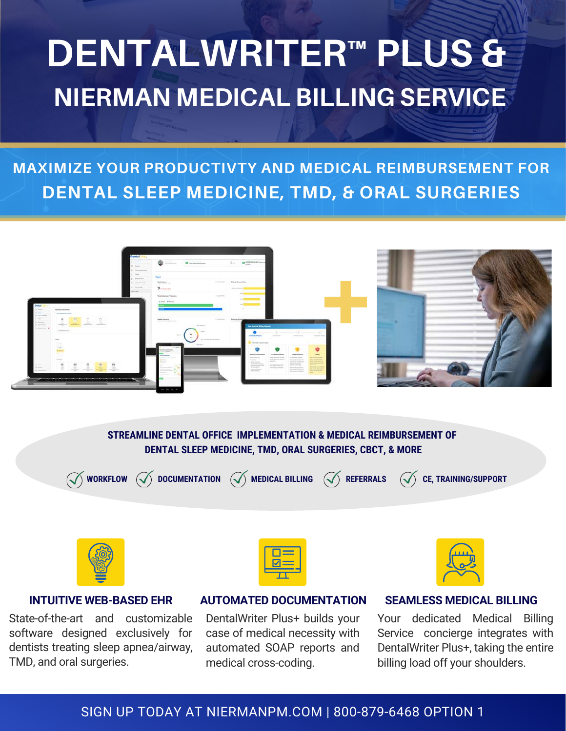# **DENTALWRITER™ PLUS & NIERMAN MEDICAL BILLING SERVICE**

## **MAXIMIZE YOUR PRODUCTIVTY AND MEDICAL REIMBURSEMENT FOR DENTAL SLEEP MEDICINE, TMD, & ORAL SURGERIES**



#### **STREAMLINE DENTAL OFFICE IMPLEMENTATION & MEDICAL REIMBURSEMENT OF DENTAL SLEEP MEDICINE, TMD, ORAL SURGERIES, CBCT, & MORE**



**WORKFLOW DOCUMENTATION MEDICAL BILLING REFERRALS CE, TRAINING/SUPPORT**



State-of-the-art and customizable software designed exclusively for dentists treating sleep apnea/airway, TMD, and oral surgeries.



#### **INTUITIVE WEB-BASED EHR AUTOMATED DOCUMENTATION**

DentalWriter Plus+ builds your case of medical necessity with automated SOAP reports and medical cross-coding.



#### **SEAMLESS MEDICAL BILLING**

Your dedicated Medical Billing Service concierge integrates with DentalWriter Plus+, taking the entire billing load off your shoulders.

### SIGN UP TODAY AT NIERMANPM.COM | 800-879-6468 OPTION 1